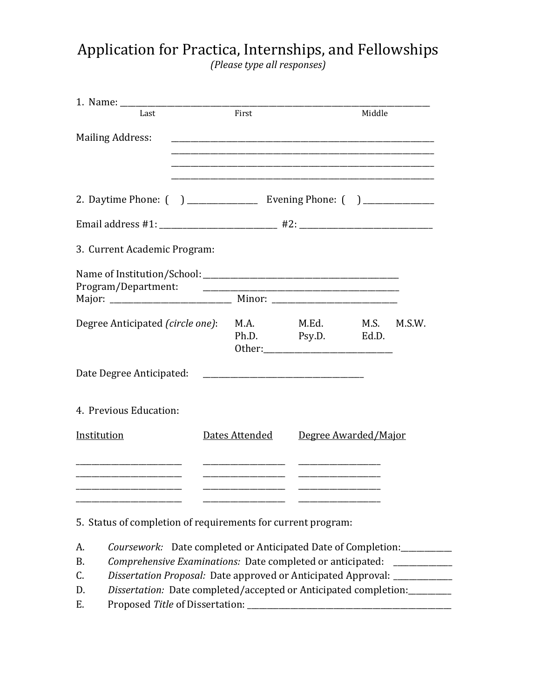## Application for Practica, Internships, and Fellowships *(Please type all responses)*

| Last                                                                                                                  | First          |                                                                                                                      |                                                                                                                       | Middle        |        |  |
|-----------------------------------------------------------------------------------------------------------------------|----------------|----------------------------------------------------------------------------------------------------------------------|-----------------------------------------------------------------------------------------------------------------------|---------------|--------|--|
| <b>Mailing Address:</b>                                                                                               |                |                                                                                                                      |                                                                                                                       |               |        |  |
| 2. Daytime Phone: () ________________ Evening Phone: () _____________                                                 |                |                                                                                                                      |                                                                                                                       |               |        |  |
|                                                                                                                       |                |                                                                                                                      |                                                                                                                       |               |        |  |
| 3. Current Academic Program:                                                                                          |                |                                                                                                                      |                                                                                                                       |               |        |  |
| Program/Department:                                                                                                   |                |                                                                                                                      | <u> 1980 - Jan James James Barnett, martin de la populación de la propia de la propia de la propia de la propia d</u> |               |        |  |
| Degree Anticipated (circle one):                                                                                      |                | M.A.                                                                                                                 | M.Ed.<br>Ph.D. Psy.D.                                                                                                 | M.S.<br>Ed.D. | M.S.W. |  |
| Date Degree Anticipated:                                                                                              |                |                                                                                                                      |                                                                                                                       |               |        |  |
| 4. Previous Education:                                                                                                |                |                                                                                                                      |                                                                                                                       |               |        |  |
| Institution                                                                                                           | Dates Attended |                                                                                                                      | Degree Awarded/Major                                                                                                  |               |        |  |
| <u> 1989 - Johann Harry Harry Harry Harry Harry Harry Harry Harry Harry Harry Harry Harry Harry Harry Harry Harry</u> |                | <u> Alexandria de la contrada de la contrada de la contrada de la contrada de la contrada de la contrada de la c</u> | <u> Listen de la componenta</u>                                                                                       |               |        |  |
| <u> 1989 - Johann Barbara, martin da kasar Amerikaansk filosof</u>                                                    |                | <u> 1989 - Johann Barbara, martin da kasar A</u>                                                                     | <u> Listen de la componenta</u>                                                                                       |               |        |  |

5. Status of completion of requirements for current program:

- A. *Coursework:* Date completed or Anticipated Date of Completion:
- B. *Comprehensive Examinations:* Date completed or anticipated: \_\_\_\_\_\_\_\_\_\_\_\_\_\_\_\_
- C. *Dissertation Proposal:* Date approved or Anticipated Approval: \_\_\_\_\_\_\_\_\_\_\_\_\_\_\_
- D. *Dissertation:* Date completed/accepted or Anticipated completion:\_\_\_\_\_\_\_\_\_\_\_
- E. Proposed *Title* of Dissertation: \_\_\_\_\_\_\_\_\_\_\_\_\_\_\_\_\_\_\_\_\_\_\_\_\_\_\_\_\_\_\_\_\_\_\_\_\_\_\_\_\_\_\_\_\_\_\_\_\_\_\_\_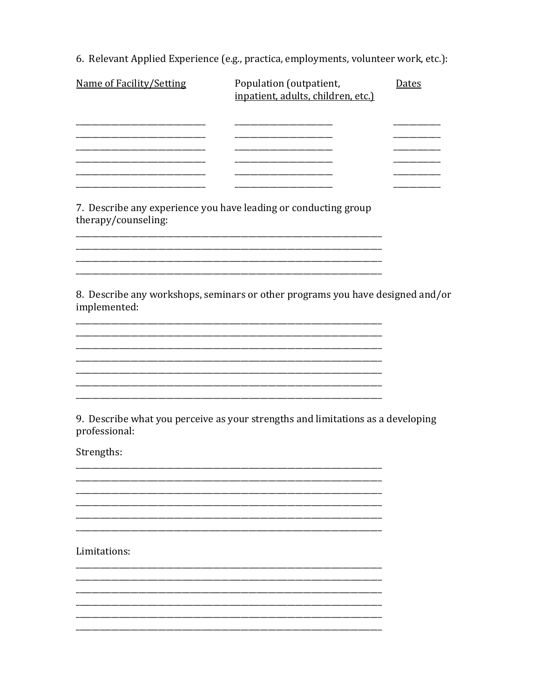6. Relevant Applied Experience (e.g., practica, employments, volunteer work, etc.):

| Name of Facility/Setting | Population (outpatient,<br>inpatient, adults, children, etc.)                   | <b>Dates</b> |
|--------------------------|---------------------------------------------------------------------------------|--------------|
|                          |                                                                                 |              |
|                          |                                                                                 |              |
| therapy/counseling:      | 7. Describe any experience you have leading or conducting group                 |              |
|                          |                                                                                 |              |
|                          |                                                                                 |              |
| implemented:             | 8. Describe any workshops, seminars or other programs you have designed and/or  |              |
|                          |                                                                                 |              |
|                          |                                                                                 |              |
|                          |                                                                                 |              |
| professional:            | 9. Describe what you perceive as your strengths and limitations as a developing |              |
| Strengths:               |                                                                                 |              |
|                          |                                                                                 |              |
|                          |                                                                                 |              |
|                          |                                                                                 |              |
| Limitations:             |                                                                                 |              |
|                          |                                                                                 |              |
|                          |                                                                                 |              |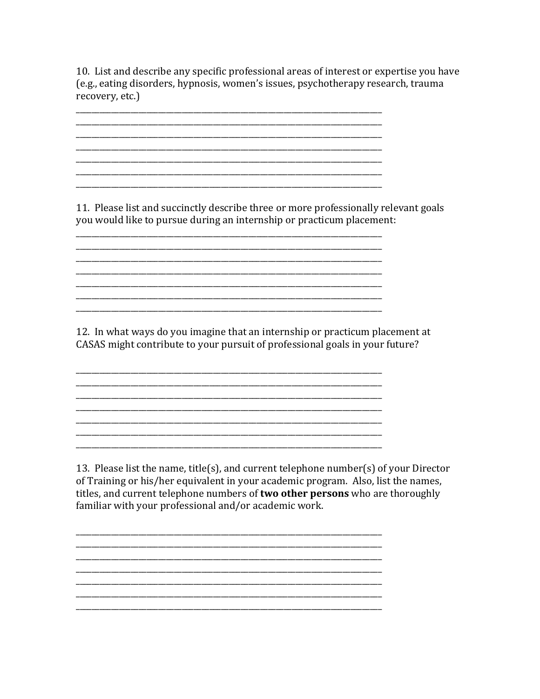10. List and describe any specific professional areas of interest or expertise you have (e.g., eating disorders, hypnosis, women's issues, psychotherapy research, trauma recovery, etc.)

<u> 1989 - Jan James James James James James James James James James James James James James James James James J</u> 

11. Please list and succinctly describe three or more professionally relevant goals you would like to pursue during an internship or practicum placement:

12. In what ways do you imagine that an internship or practicum placement at CASAS might contribute to your pursuit of professional goals in your future?

<u> 1989 - Johann Barn, mars ann an t-Amhain ann an t-Amhain an t-Amhain an t-Amhain an t-Amhain an t-Amhain an t-</u> 

13. Please list the name, title(s), and current telephone number(s) of your Director of Training or his/her equivalent in your academic program. Also, list the names, titles, and current telephone numbers of two other persons who are thoroughly familiar with your professional and/or academic work.

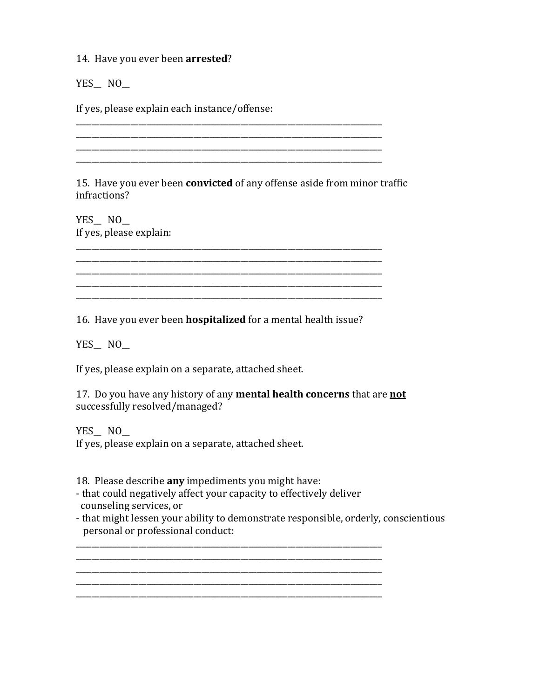14. Have you ever been **arrested**?

YES\_NO\_

If yes, please explain each instance/offense:

15. Have you ever been **convicted** of any offense aside from minor traffic infractions?

\_\_\_\_\_\_\_\_\_\_\_\_\_\_\_\_\_\_\_\_\_\_\_\_\_\_\_\_\_\_\_\_\_\_\_\_\_\_\_\_\_\_\_\_\_\_\_\_\_\_\_\_\_\_\_\_\_\_\_\_\_\_\_\_\_\_\_\_\_\_\_\_\_\_\_\_\_\_

\_\_\_\_\_\_\_\_\_\_\_\_\_\_\_\_\_\_\_\_\_\_\_\_\_\_\_\_\_\_\_\_\_\_\_\_\_\_\_\_\_\_\_\_\_\_\_\_\_\_\_\_\_\_\_\_\_\_\_\_\_\_\_\_\_\_\_\_\_\_\_\_\_\_\_\_\_\_

\_\_\_\_\_\_\_\_\_\_\_\_\_\_\_\_\_\_\_\_\_\_\_\_\_\_\_\_\_\_\_\_\_\_\_\_\_\_\_\_\_\_\_\_\_\_\_\_\_\_\_\_\_\_\_\_\_\_\_\_\_\_\_\_\_\_\_\_\_\_\_\_\_\_\_\_\_\_

\_\_\_\_\_\_\_\_\_\_\_\_\_\_\_\_\_\_\_\_\_\_\_\_\_\_\_\_\_\_\_\_\_\_\_\_\_\_\_\_\_\_\_\_\_\_\_\_\_\_\_\_\_\_\_\_\_\_\_\_\_\_\_\_\_\_\_\_\_\_\_\_\_\_\_\_\_\_

\_\_\_\_\_\_\_\_\_\_\_\_\_\_\_\_\_\_\_\_\_\_\_\_\_\_\_\_\_\_\_\_\_\_\_\_\_\_\_\_\_\_\_\_\_\_\_\_\_\_\_\_\_\_\_\_\_\_\_\_\_\_\_\_\_\_\_\_\_\_\_\_\_\_\_\_\_\_

YES NO If yes, please explain:

16. Have you ever been **hospitalized** for a mental health issue?

\_\_\_\_\_\_\_\_\_\_\_\_\_\_\_\_\_\_\_\_\_\_\_\_\_\_\_\_\_\_\_\_\_\_\_\_\_\_\_\_\_\_\_\_\_\_\_\_\_\_\_\_\_\_\_\_\_\_\_\_\_\_\_\_\_\_\_\_\_\_\_\_\_\_\_\_\_\_ \_\_\_\_\_\_\_\_\_\_\_\_\_\_\_\_\_\_\_\_\_\_\_\_\_\_\_\_\_\_\_\_\_\_\_\_\_\_\_\_\_\_\_\_\_\_\_\_\_\_\_\_\_\_\_\_\_\_\_\_\_\_\_\_\_\_\_\_\_\_\_\_\_\_\_\_\_\_

\_\_\_\_\_\_\_\_\_\_\_\_\_\_\_\_\_\_\_\_\_\_\_\_\_\_\_\_\_\_\_\_\_\_\_\_\_\_\_\_\_\_\_\_\_\_\_\_\_\_\_\_\_\_\_\_\_\_\_\_\_\_\_\_\_\_\_\_\_\_\_\_\_\_\_\_\_\_

YES\_\_ NO\_

If yes, please explain on a separate, attached sheet.

17. Do you have any history of any **mental health concerns** that are **not** successfully resolved/managed?

YES\_NO\_ If yes, please explain on a separate, attached sheet.

18. Please describe **any** impediments you might have:

- that could negatively affect your capacity to effectively deliver counseling services, or
- that might lessen your ability to demonstrate responsible, orderly, conscientious personal or professional conduct:

\_\_\_\_\_\_\_\_\_\_\_\_\_\_\_\_\_\_\_\_\_\_\_\_\_\_\_\_\_\_\_\_\_\_\_\_\_\_\_\_\_\_\_\_\_\_\_\_\_\_\_\_\_\_\_\_\_\_\_\_\_\_\_\_\_\_\_\_\_\_\_\_\_\_\_\_\_\_

\_\_\_\_\_\_\_\_\_\_\_\_\_\_\_\_\_\_\_\_\_\_\_\_\_\_\_\_\_\_\_\_\_\_\_\_\_\_\_\_\_\_\_\_\_\_\_\_\_\_\_\_\_\_\_\_\_\_\_\_\_\_\_\_\_\_\_\_\_\_\_\_\_\_\_\_\_\_

\_\_\_\_\_\_\_\_\_\_\_\_\_\_\_\_\_\_\_\_\_\_\_\_\_\_\_\_\_\_\_\_\_\_\_\_\_\_\_\_\_\_\_\_\_\_\_\_\_\_\_\_\_\_\_\_\_\_\_\_\_\_\_\_\_\_\_\_\_\_\_\_\_\_\_\_\_\_